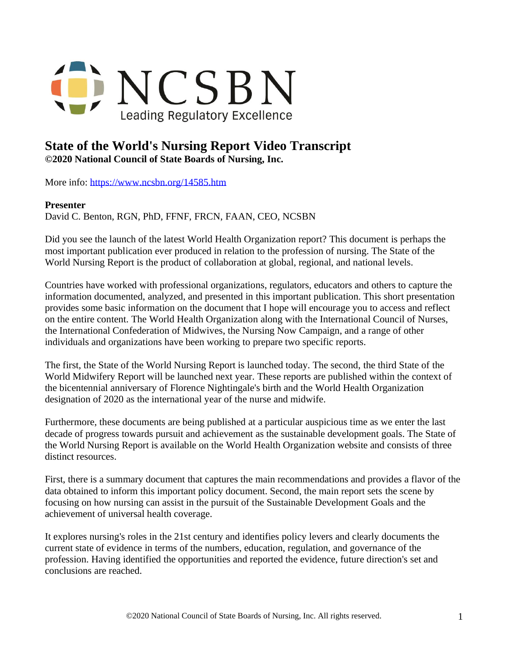

## **State of the World's Nursing Report Video Transcript**

**©2020 National Council of State Boards of Nursing, Inc.** 

More info: <https://www.ncsbn.org/14585.htm>

## **Presenter**

David C. Benton, RGN, PhD, FFNF, FRCN, FAAN, CEO, NCSBN

Did you see the launch of the latest World Health Organization report? This document is perhaps the most important publication ever produced in relation to the profession of nursing. The State of the World Nursing Report is the product of collaboration at global, regional, and national levels.

Countries have worked with professional organizations, regulators, educators and others to capture the information documented, analyzed, and presented in this important publication. This short presentation provides some basic information on the document that I hope will encourage you to access and reflect on the entire content. The World Health Organization along with the International Council of Nurses, the International Confederation of Midwives, the Nursing Now Campaign, and a range of other individuals and organizations have been working to prepare two specific reports.

The first, the State of the World Nursing Report is launched today. The second, the third State of the World Midwifery Report will be launched next year. These reports are published within the context of the bicentennial anniversary of Florence Nightingale's birth and the World Health Organization designation of 2020 as the international year of the nurse and midwife.

Furthermore, these documents are being published at a particular auspicious time as we enter the last decade of progress towards pursuit and achievement as the sustainable development goals. The State of the World Nursing Report is available on the World Health Organization website and consists of three distinct resources.

First, there is a summary document that captures the main recommendations and provides a flavor of the data obtained to inform this important policy document. Second, the main report sets the scene by focusing on how nursing can assist in the pursuit of the Sustainable Development Goals and the achievement of universal health coverage.

It explores nursing's roles in the 21st century and identifies policy levers and clearly documents the current state of evidence in terms of the numbers, education, regulation, and governance of the profession. Having identified the opportunities and reported the evidence, future direction's set and conclusions are reached.